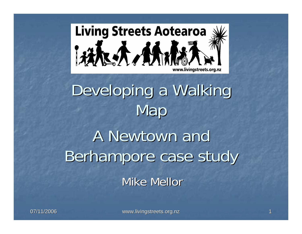

## Developing a Walking Map

## A Newtown and Berhampore case study Mike Mellor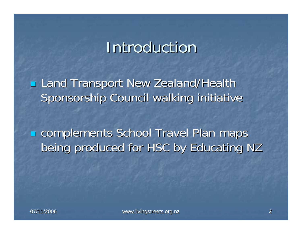## **Introduction**

**Land Transport New Zealand/Health** Sponsorship Council walking initiative

**Examplements School Travel Plan maps** being produced for HSC by Educating NZ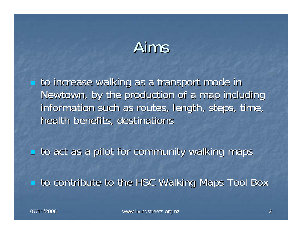## Aims

to increase walking as a transport mode in Newtown, by the production of a map including information such as routes, length, steps, time, health benefits, destinations

 $\blacksquare$  to act as a pilot for community walking maps

**The The HSC Walking Maps Tool Box** to contribute to the HSC Walking Maps Tool Box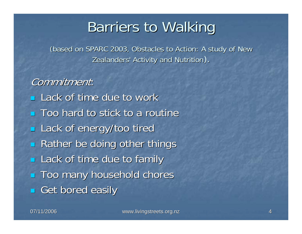### **Barriers to Walking**

(based on SPARC 2003, Obstacles to Action: A study of New Zealanders' Activity and Nutrition).

Commitment:  $\blacksquare$  Lack of time due to work  $\blacksquare$  Too hard to stick to a routine Lack of energy/too tired  $\blacksquare$ Rather be doing other things **Lack of time due to family Too many household chores** Get bored easily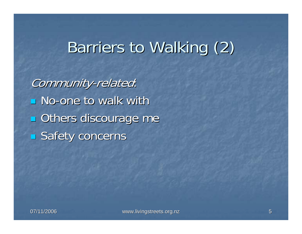## Barriers to Walking (2)

Community-related:  $\blacksquare$  No-one to walk with **Others discourage me Safety concerns**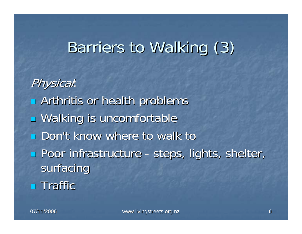## Barriers to Walking (3)

Physical: **E** Arthritis or health problems **u** Walking is uncomfortable **Don't know where to walk to Poor infrastructure - steps, lights, shelter, steps, steps**, steps, shelter, surfacing  $\blacksquare$  Traffic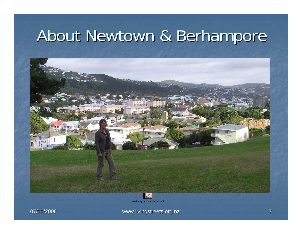## About Newtown & Berhampore



wellington suburbs.pdf

07/11/2006 07/11/2006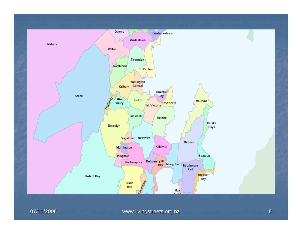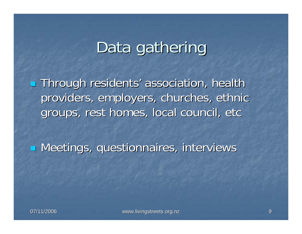## Data gathering

**Through residents' association, health** providers, employers, churches, ethnic groups, rest homes, local council, etc

**E** Meetings, questionnaires, interviews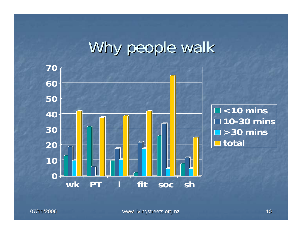## Why people walk

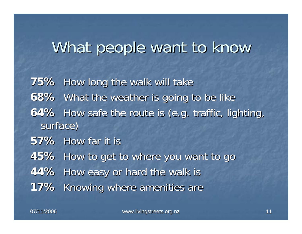## What people want to know

**75%** How long the walk will take **68%** What the weather is going to be like **64%** How safe the route is (e.g. traffic, lighting, surface) **57%** How far it is **45%** How to get to where you want to go **44%** How easy or hard the walk is **17%** Knowing where amenities are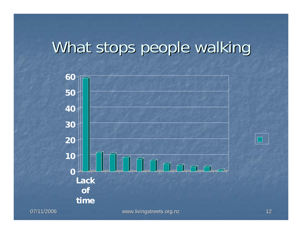## What stops people walking

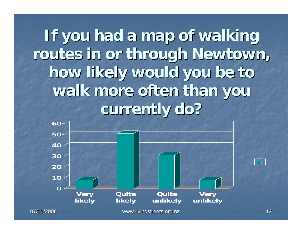If you had a map of walking **routes in or through Newtown, routes in or through Newtown, how likely would you be to how likely would you be to**  walk more often than you **currently do? currently do?**

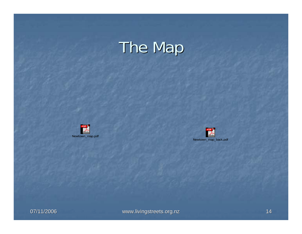# The Map





07/11/2006 07/11/2006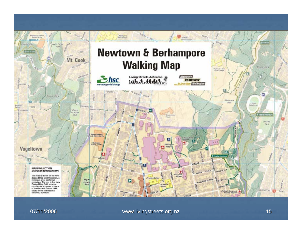

07/11/2006 07/11/2006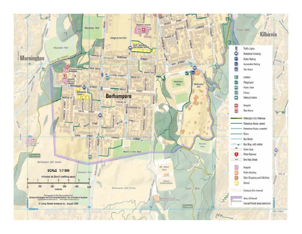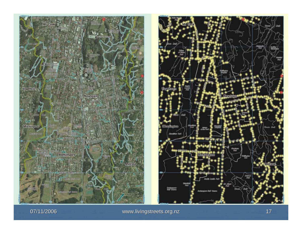

07/11/2006 07/11/2006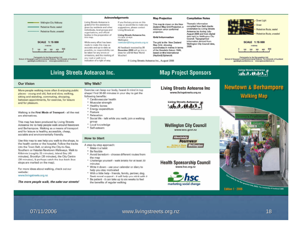#### **Acknowledgements Map Projection Compilation Notes** Street Light - Wellington City Walkway Living Streets Actearoa is If you find any errors on this Thematic information This map is drawn on the New grateful for the assistance map or would like to make any Zealand Map Grid Projection, a compiled from field checks Pedestrian Route, sealed given by residents and other suggestions, please contact undertaken by Living Streets minimum error conformal Pedestrian Route, sealed individuals, local groups and Living Streets at: ---- Pedestrian Route, unsealed Actearoa inc during Julyprojection. organisations, and official August 2006 and from digital Pedestrian Route, unsealed bodies in the preparation of Living Streets Actearon Inc. date held by Wellington City **Grid Information** this map. PU BOX 20-424 Council. Topographical Wellington information derived from **SCALE 1:15 000 SCALE 1:15 000** While every effort has been newtown@living.streets.org.nz The grid is the New Zealand Wellington City Council data, made to make this map as Map Grid, showing metres metros 2006. All feedback received by 31 coordinates in metres in terms accurate and up-to-date as **Sing** December 2006 will go into a 300 smn possible, no responsibility can of the Geordetic Datum 1949. be taken for any errors or draw for a \$100 Now World based on the International omissions, and the marking of **Voucher!** (Hayford) Spheroid. Cartography by the Geographics Unit<br>School of Geography and Environmental School of Auckland<br>- gav@epes.suckland.ac.ac - www.ugas.auskland.ac.ac Catagraphy by the Geographics Unit<br>School of Geography and Environmental School of Auckland<br>gov@sges.suckland.co.nz - www.ages.auckland.com env road or path is no indication of a right of way. C Living Streets Aotearoa Inc., August 2006 Living Streets Aotearoa Living Streets Aotearoa Inc. **Map Project Sponsors** ( ( 大 , 妖 , 妖 , 大 ) **Our Vision** Why Walk? **Newtown & Berhampore** Living Streets Aotearoa Inc Exercise can keep our body, hearet & mind in top More people walking more often & enjoying public www.livingstreets.org.nz shape! Find 30-60 minutes in your day to get the places - young and old, fast and slow, walking, **Walking Map** following benefits: sitting and standing, commuting, shopping, \* Cardiovascular health between appointments, for exercise, for leisure **Living Streets Aotearoa** and for pleasure.

Walking is the First Mode of Transport - all the rest are alternatives.

This map has been produced by Living Streets Actearoa Inc to help people walk around Newtown and Berhampore. Walking as a means of transport and for leisure is healthy, accessible, cheap, sociable and environmentally friendly.

Use this map to see help you walk to the shops, to the health centre or the hospital. Follow the tracks into the Town Belt, or along the City-to-Sea, Southern or Hataitai-Newtown Walkways. Walk to Kilbirnie (roughly 25 minutes), Island Bay (45 minutes), Brooklyn (30 minutes), the City Centre (30 minutes), & perhaps eatch the bus back (bus stops are marked on the map).

For more ideas about walking, check out our website:

### www.livingstreets.org.nz

#### The more people walk, the safer our streets!

- \* Muscular strength
- \* Healthy bones
- \* Energy expenditure
- \* Posture
- \* Relaxation
- \* Social life talk while you walk; join a walking group
- \* Local knowledge
- \* Self-esteem

### **How to Start**

- A step-by-step approach:
- \* Make it a habit
- \* Be flexible
- \* Avoid boredom choose different routes from the man
- \* Challenge yourself walk briskly for at least 20 minutes
- \* Write it down use your calendar or diary to help you stay motivated
- \* With a little help friends, family, partner, dog. Seek moral support - it will help you stick with it
- \* Be patient it can take up to six weeks to feel the benefits of regular walking

### **Wellington City Council** www.wcc.govt.nz

14 未付付

**Absolutely POSITIVELY Wellington ME HERT ET FÖRE** 

**Health Sponsorship Council** www.hsc.org.nz



**PEACE CITY, SUES, The Chaversity of Aucklined 2006 Edition 1 - 2006** 

07/11/2006 07/11/2006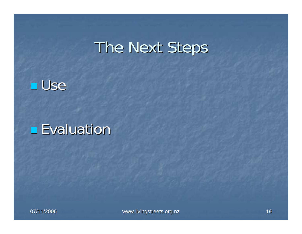## The Next Steps



### **Evaluation**